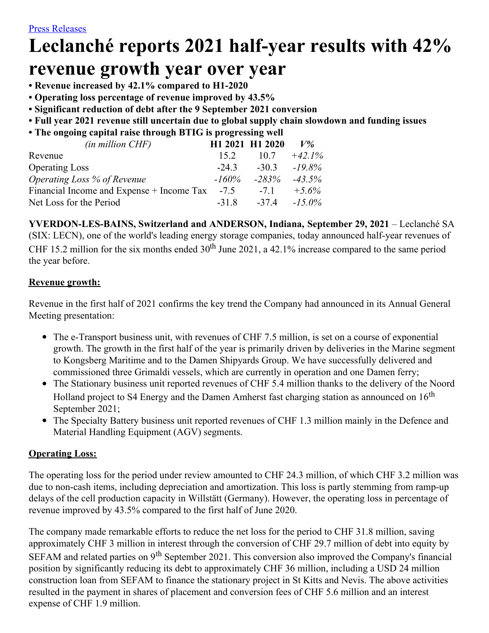# **Leclanché reports 2021 half-year results with 42% revenue growth year over year**

- **• Revenue increased by 42.1% compared to H1-2020**
- **• Operating loss percentage of revenue improved by 43.5%**
- **• Significant reduction of debt after the 9 September 2021 conversion**
- **• Full year 2021 revenue still uncertain due to global supply chain slowdown and funding issues**
- **• The ongoing capital raise through BTIG is progressing well**

| <i>(in million CHF)</i>                            |          | H1 2021 H1 2020 | $V\%$     |
|----------------------------------------------------|----------|-----------------|-----------|
| Revenue                                            | 15.2     | 10.7            | $+42.1\%$ |
| <b>Operating Loss</b>                              | $-24.3$  | $-30.3$         | $-19.8\%$ |
| Operating Loss % of Revenue                        | $-160\%$ | $-283\%$        | $-43.5\%$ |
| Financial Income and Expense $+$ Income Tax $-7.5$ |          | $-7.1$          | $+5.6\%$  |
| Net Loss for the Period                            | $-31.8$  | $-37.4$         | $-15.0\%$ |

**YVERDON-LES-BAINS, Switzerland and ANDERSON, Indiana, September 29, 2021** – Leclanché SA (SIX: LECN), one of the world's leading energy storage companies, today announced half-year revenues of CHF 15.2 million for the six months ended  $30<sup>th</sup>$  June 2021, a 42.1% increase compared to the same period the year before.

#### **Revenue growth:**

Revenue in the first half of 2021 confirms the key trend the Company had announced in its Annual General Meeting presentation:

- The e-Transport business unit, with revenues of CHF 7.5 million, is set on a course of exponential growth. The growth in the first half of the year is primarily driven by deliveries in the Marine segment to Kongsberg Maritime and to the Damen Shipyards Group. We have successfully delivered and commissioned three Grimaldi vessels, which are currently in operation and one Damen ferry;
- The Stationary business unit reported revenues of CHF 5.4 million thanks to the delivery of the Noord Holland project to S4 Energy and the Damen Amherst fast charging station as announced on  $16^{\text{th}}$ September 2021;
- The Specialty Battery business unit reported revenues of CHF 1.3 million mainly in the Defence and Material Handling Equipment (AGV) segments.

## **Operating Loss:**

The operating loss for the period under review amounted to CHF 24.3 million, of which CHF 3.2 million was due to non-cash items, including depreciation and amortization. This loss is partly stemming from ramp-up delays of the cell production capacity in Willstätt (Germany). However, the operating loss in percentage of revenue improved by 43.5% compared to the first half of June 2020.

The company made remarkable efforts to reduce the net loss for the period to CHF 31.8 million, saving approximately CHF 3 million in interest through the conversion of CHF 29.7 million of debt into equity by SEFAM and related parties on 9<sup>th</sup> September 2021. This conversion also improved the Company's financial position by significantly reducing its debt to approximately CHF 36 million, including a USD 24 million construction loan from SEFAM to finance the stationary project in St Kitts and Nevis. The above activities resulted in the payment in shares of placement and conversion fees of CHF 5.6 million and an interest expense of CHF 1.9 million.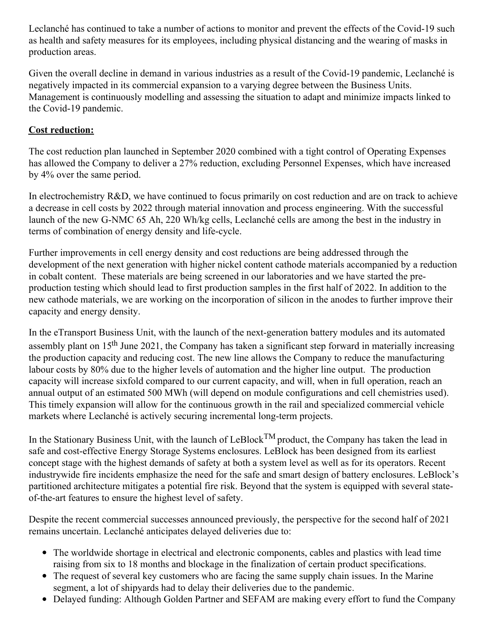Leclanché has continued to take a number of actions to monitor and prevent the effects of the Covid-19 such as health and safety measures for its employees, including physical distancing and the wearing of masks in production areas.

Given the overall decline in demand in various industries as a result of the Covid-19 pandemic, Leclanché is negatively impacted in its commercial expansion to a varying degree between the Business Units. Management is continuously modelling and assessing the situation to adapt and minimize impacts linked to the Covid-19 pandemic.

# **Cost reduction:**

The cost reduction plan launched in September 2020 combined with a tight control of Operating Expenses has allowed the Company to deliver a 27% reduction, excluding Personnel Expenses, which have increased by 4% over the same period.

In electrochemistry R&D, we have continued to focus primarily on cost reduction and are on track to achieve a decrease in cell costs by 2022 through material innovation and process engineering. With the successful launch of the new G-NMC 65 Ah, 220 Wh/kg cells, Leclanché cells are among the best in the industry in terms of combination of energy density and life-cycle.

Further improvements in cell energy density and cost reductions are being addressed through the development of the next generation with higher nickel content cathode materials accompanied by a reduction in cobalt content. These materials are being screened in our laboratories and we have started the preproduction testing which should lead to first production samples in the first half of 2022. In addition to the new cathode materials, we are working on the incorporation of silicon in the anodes to further improve their capacity and energy density.

In the eTransport Business Unit, with the launch of the next-generation battery modules and its automated assembly plant on 15<sup>th</sup> June 2021, the Company has taken a significant step forward in materially increasing the production capacity and reducing cost. The new line allows the Company to reduce the manufacturing labour costs by 80% due to the higher levels of automation and the higher line output. The production capacity will increase sixfold compared to our current capacity, and will, when in full operation, reach an annual output of an estimated 500 MWh (will depend on module configurations and cell chemistries used). This timely expansion will allow for the continuous growth in the rail and specialized commercial vehicle markets where Leclanché is actively securing incremental long-term projects.

In the Stationary Business Unit, with the launch of  $LeBlock^{TM}$  product, the Company has taken the lead in safe and cost-effective Energy Storage Systems enclosures. LeBlock has been designed from its earliest concept stage with the highest demands of safety at both a system level as well as for its operators. Recent industrywide fire incidents emphasize the need for the safe and smart design of battery enclosures. LeBlock's partitioned architecture mitigates a potential fire risk. Beyond that the system is equipped with several stateof-the-art features to ensure the highest level of safety.

Despite the recent commercial successes announced previously, the perspective for the second half of 2021 remains uncertain. Leclanché anticipates delayed deliveries due to:

- The worldwide shortage in electrical and electronic components, cables and plastics with lead time raising from six to 18 months and blockage in the finalization of certain product specifications.
- The request of several key customers who are facing the same supply chain issues. In the Marine segment, a lot of shipyards had to delay their deliveries due to the pandemic.
- Delayed funding: Although Golden Partner and SEFAM are making every effort to fund the Company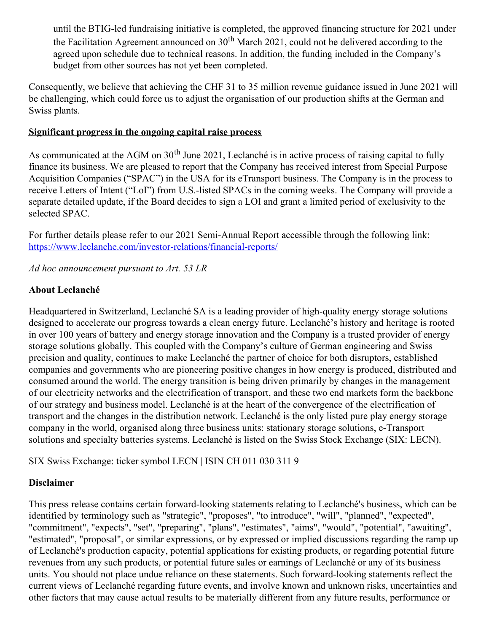until the BTIG-led fundraising initiative is completed, the approved financing structure for 2021 under the Facilitation Agreement announced on  $30<sup>th</sup>$  March 2021, could not be delivered according to the agreed upon schedule due to technical reasons. In addition, the funding included in the Company's budget from other sources has not yet been completed.

Consequently, we believe that achieving the CHF 31 to 35 million revenue guidance issued in June 2021 will be challenging, which could force us to adjust the organisation of our production shifts at the German and Swiss plants.

#### **Significant progress in the ongoing capital raise process**

As communicated at the AGM on  $30<sup>th</sup>$  June 2021, Leclanché is in active process of raising capital to fully finance its business. We are pleased to report that the Company has received interest from Special Purpose Acquisition Companies ("SPAC") in the USA for its eTransport business. The Company is in the process to receive Letters of Intent ("LoI") from U.S.-listed SPACs in the coming weeks. The Company will provide a separate detailed update, if the Board decides to sign a LOI and grant a limited period of exclusivity to the selected SPAC.

For further details please refer to our 2021 Semi-Annual Report accessible through the following link: <https://www.leclanche.com/investor-relations/financial-reports/>

*Ad hoc announcement pursuant to Art. 53 LR*

## **About Leclanché**

Headquartered in Switzerland, Leclanché SA is a leading provider of high-quality energy storage solutions designed to accelerate our progress towards a clean energy future. Leclanché's history and heritage is rooted in over 100 years of battery and energy storage innovation and the Company is a trusted provider of energy storage solutions globally. This coupled with the Company's culture of German engineering and Swiss precision and quality, continues to make Leclanché the partner of choice for both disruptors, established companies and governments who are pioneering positive changes in how energy is produced, distributed and consumed around the world. The energy transition is being driven primarily by changes in the management of our electricity networks and the electrification of transport, and these two end markets form the backbone of our strategy and business model. Leclanché is at the heart of the convergence of the electrification of transport and the changes in the distribution network. Leclanché is the only listed pure play energy storage company in the world, organised along three business units: stationary storage solutions, e-Transport solutions and specialty batteries systems. Leclanché is listed on the Swiss Stock Exchange (SIX: LECN).

SIX Swiss Exchange: ticker symbol LECN | ISIN CH 011 030 311 9

## **Disclaimer**

This press release contains certain forward-looking statements relating to Leclanché's business, which can be identified by terminology such as "strategic", "proposes", "to introduce", "will", "planned", "expected", "commitment", "expects", "set", "preparing", "plans", "estimates", "aims", "would", "potential", "awaiting", "estimated", "proposal", or similar expressions, or by expressed or implied discussions regarding the ramp up of Leclanché's production capacity, potential applications for existing products, or regarding potential future revenues from any such products, or potential future sales or earnings of Leclanché or any of its business units. You should not place undue reliance on these statements. Such forward-looking statements reflect the current views of Leclanché regarding future events, and involve known and unknown risks, uncertainties and other factors that may cause actual results to be materially different from any future results, performance or